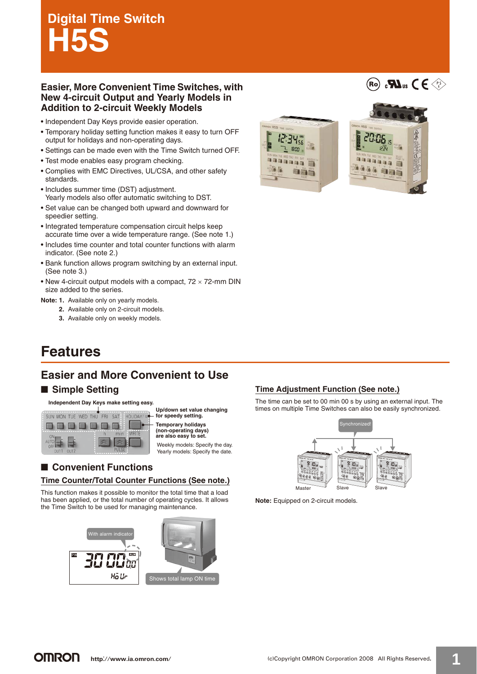# **Digital Time Switch H5S**

### **Easier, More Convenient Time Switches, with New 4-circuit Output and Yearly Models in Addition to 2-circuit Weekly Models**

- Independent Day Keys provide easier operation.
- Temporary holiday setting function makes it easy to turn OFF output for holidays and non-operating days.
- Settings can be made even with the Time Switch turned OFF.
- Test mode enables easy program checking.
- Complies with EMC Directives, UL/CSA, and other safety standards.
- Includes summer time (DST) adjustment. Yearly models also offer automatic switching to DST.
- Set value can be changed both upward and downward for speedier setting.
- Integrated temperature compensation circuit helps keep accurate time over a wide temperature range. (See note 1.)
- Includes time counter and total counter functions with alarm indicator. (See note 2.)
- Bank function allows program switching by an external input. (See note 3.)
- New 4-circuit output models with a compact,  $72 \times 72$ -mm DIN size added to the series.

#### **Note: 1.** Available only on yearly models.

- **2.** Available only on 2-circuit models.
- **3.** Available only on weekly models.



(Ro)  $_{\rm c}$ Mus ( $\in$   $\ll$ 

# **Features**

### **Easier and More Convenient to Use**

### ■ Simple Settina

#### **Independent Day Keys make setting easy.**



**Up/down set value changing for speedy setting.**

**Temporary holidays (non-operating days) are also easy to set.**

Weekly models: Specify the day. Yearly models: Specify the date.

### ■ **Convenient Functions**

### **Time Counter/Total Counter Functions (See note.)**

This function makes it possible to monitor the total time that a load has been applied, or the total number of operating cycles. It allows the Time Switch to be used for managing maintenance.



### **Time Adjustment Function (See note.)**

The time can be set to 00 min 00 s by using an external input. The times on multiple Time Switches can also be easily synchronized.



**Note:** Equipped on 2-circuit models.

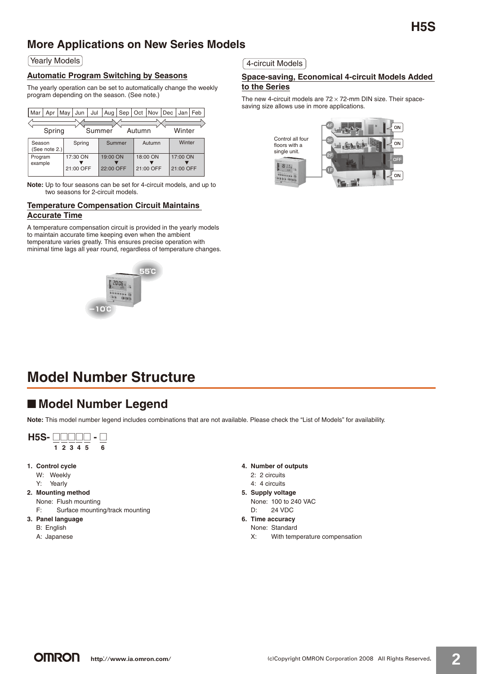### **More Applications on New Series Models**

Yearly Models

### **Automatic Program Switching by Seasons**

The yearly operation can be set to automatically change the weekly program depending on the season. (See note.)

| Mar                | Apr           | May | Jun                   | Jul    | Aug                   | Sep    | Oct    | <b>Nov</b>            | Dec |                       | Jan   Feb |
|--------------------|---------------|-----|-----------------------|--------|-----------------------|--------|--------|-----------------------|-----|-----------------------|-----------|
|                    | Spring        |     |                       | Summer |                       |        | Autumn |                       |     | Winter                |           |
| Season             | (See note 2.) |     | Spring                |        |                       | Summer |        | Autumn                |     | Winter                |           |
| Program<br>example |               |     | 17:30 ON<br>21:00 OFF |        | 19:00 ON<br>22:00 OFF |        |        | 18:00 ON<br>21:00 OFF |     | 17:00 ON<br>21:00 OFF |           |

**Note:** Up to four seasons can be set for 4-circuit models, and up to two seasons for 2-circuit models.

#### **Temperature Compensation Circuit Maintains Accurate Time**

A temperature compensation circuit is provided in the yearly models to maintain accurate time keeping even when the ambient temperature varies greatly. This ensures precise operation with minimal time lags all year round, regardless of temperature changes.



4-circuit Models

### **Space-saving, Economical 4-circuit Models Added to the Series**

The new 4-circuit models are  $72 \times 72$ -mm DIN size. Their spacesaving size allows use in more applications.



# **Model Number Structure**

### ■ Model Number Legend

**Note:** This model number legend includes combinations that are not available. Please check the "List of Models" for availability.



- 
- A: Japanese
- **4. Number of outputs**
	- 2: 2 circuits
	- 4: 4 circuits
- **5. Supply voltage** None: 100 to 240 VAC
	- D: 24 VDC
- **6. Time accuracy**
	- None: Standard X: With temperature compensation

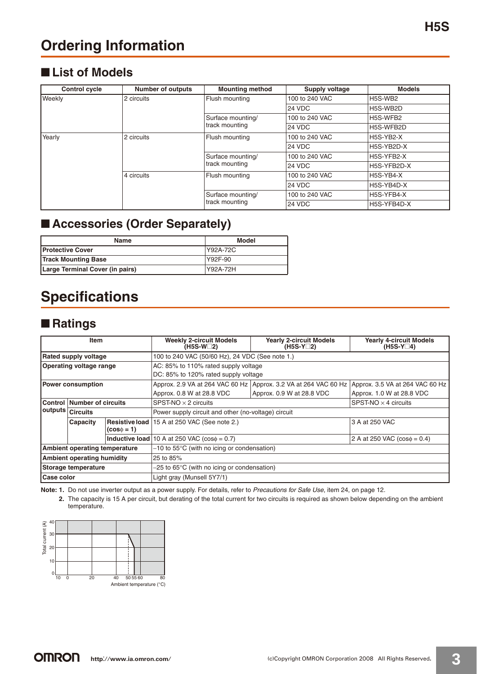### ■ List of Models

| <b>Control cycle</b> | <b>Number of outputs</b> | <b>Mounting method</b>              | Supply voltage | <b>Models</b>                    |
|----------------------|--------------------------|-------------------------------------|----------------|----------------------------------|
| Weekly               | 2 circuits               | Flush mounting                      | 100 to 240 VAC | H <sub>5</sub> S-W <sub>B2</sub> |
|                      |                          |                                     | 24 VDC         | H5S-WB2D                         |
|                      |                          | Surface mounting/                   | 100 to 240 VAC | H5S-WFB2                         |
|                      |                          | track mounting                      | <b>24 VDC</b>  | H5S-WFB2D                        |
| Yearly               | 2 circuits               | Flush mounting                      | 100 to 240 VAC | H5S-YB2-X                        |
|                      |                          |                                     | <b>24 VDC</b>  | H5S-YB2D-X                       |
|                      |                          | Surface mounting/<br>track mounting | 100 to 240 VAC | H5S-YFB2-X                       |
|                      |                          |                                     | <b>24 VDC</b>  | H5S-YFB2D-X                      |
|                      | 4 circuits               | Flush mounting                      | 100 to 240 VAC | H5S-YB4-X                        |
|                      |                          |                                     | <b>24 VDC</b>  | H5S-YB4D-X                       |
|                      |                          | Surface mounting/                   | 100 to 240 VAC | H5S-YFB4-X                       |
|                      |                          | track mounting                      | <b>24 VDC</b>  | H5S-YFB4D-X                      |

### ■ **Accessories (Order Separately)**

| <b>Name</b>                     | Model    |
|---------------------------------|----------|
| <b>Protective Cover</b>         | Y92A-72C |
| <b>Track Mounting Base</b>      | Y92F-90  |
| Large Terminal Cover (in pairs) | Y92A-72H |

# **Specifications**

### ■ **Ratings**

| <b>Item</b>                          |                                |                  | <b>Weekly 2-circuit Models</b><br><b>Yearly 2-circuit Models</b><br>(H5S-W□2)<br>$(H5S-Y_2)$ |                                | <b>Yearly 4-circuit Models</b><br>$(H5S-Y_4)$ |  |  |  |
|--------------------------------------|--------------------------------|------------------|----------------------------------------------------------------------------------------------|--------------------------------|-----------------------------------------------|--|--|--|
|                                      | <b>Rated supply voltage</b>    |                  | 100 to 240 VAC (50/60 Hz), 24 VDC (See note 1.)                                              |                                |                                               |  |  |  |
|                                      | <b>Operating voltage range</b> |                  | AC: 85% to 110% rated supply voltage                                                         |                                |                                               |  |  |  |
|                                      |                                |                  | DC: 85% to 120% rated supply voltage                                                         |                                |                                               |  |  |  |
| <b>Power consumption</b>             |                                |                  | Approx. 2.9 VA at 264 VAC 60 Hz Approx. 3.2 VA at 264 VAC 60 Hz                              |                                | Approx. 3.5 VA at 264 VAC 60 Hz               |  |  |  |
|                                      |                                |                  | Approx. 0.8 W at 28.8 VDC                                                                    | Approx. 0.9 W at 28.8 VDC      | Approx. 1.0 W at 28.8 VDC                     |  |  |  |
| <b>Control   Number of circuits</b>  |                                |                  | $SPST-NO \times 2$ circuits                                                                  | $S$ PST-NO $\times$ 4 circuits |                                               |  |  |  |
|                                      | outputs <i>Circuits</i>        |                  | Power supply circuit and other (no-voltage) circuit                                          |                                |                                               |  |  |  |
|                                      | Capacity                       | $(cos \phi = 1)$ | <b>Resistive load</b> 15 A at 250 VAC (See note 2.)                                          |                                | 3 A at 250 VAC                                |  |  |  |
|                                      |                                |                  | <b>Inductive load</b> 10 A at 250 VAC $(cos\phi = 0.7)$                                      |                                | 2 A at 250 VAC $(cos\phi = 0.4)$              |  |  |  |
| <b>Ambient operating temperature</b> |                                |                  | $-10$ to 55 $\degree$ C (with no icing or condensation)                                      |                                |                                               |  |  |  |
| <b>Ambient operating humidity</b>    |                                |                  | 25 to 85%                                                                                    |                                |                                               |  |  |  |
| Storage temperature                  |                                |                  | $-25$ to 65 $\degree$ C (with no icing or condensation)                                      |                                |                                               |  |  |  |
| Case color                           |                                |                  | Light gray (Munsell 5Y7/1)                                                                   |                                |                                               |  |  |  |

Note: 1. Do not use inverter output as a power supply. For details, refer to Precautions for Safe Use, item 24, on page 12.

**2.** The capacity is 15 A per circuit, but derating of the total current for two circuits is required as shown below depending on the ambient temperature.

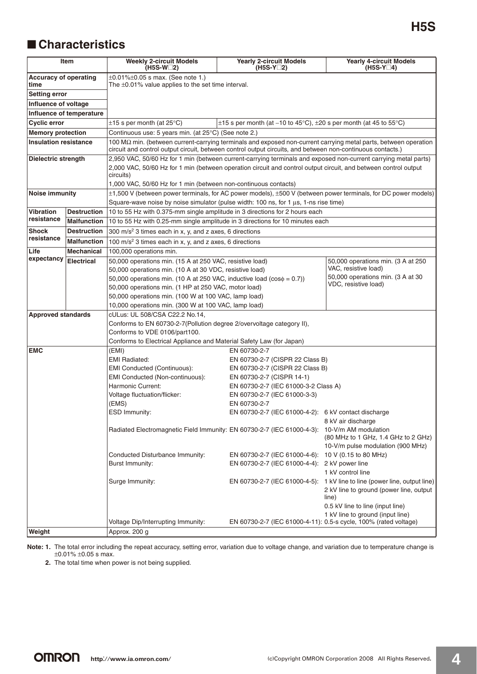### ■ **Characteristics**

| <b>Item</b>                          |                          | <b>Weekly 2-circuit Models</b><br>$(H5S-W2)$                                                                                                                                                                                                                                                                       | <b>Yearly 2-circuit Models</b><br>$(H5S-Y_2)$                                                                                                                                           | <b>Yearly 4-circuit Models</b><br>$(H5S-Y_4)$                                                                                                                                                         |  |  |
|--------------------------------------|--------------------------|--------------------------------------------------------------------------------------------------------------------------------------------------------------------------------------------------------------------------------------------------------------------------------------------------------------------|-----------------------------------------------------------------------------------------------------------------------------------------------------------------------------------------|-------------------------------------------------------------------------------------------------------------------------------------------------------------------------------------------------------|--|--|
| <b>Accuracy of operating</b><br>time |                          | $\pm 0.01\% \pm 0.05$ s max. (See note 1.)<br>The $\pm 0.01\%$ value applies to the set time interval.                                                                                                                                                                                                             |                                                                                                                                                                                         |                                                                                                                                                                                                       |  |  |
| <b>Setting error</b>                 |                          |                                                                                                                                                                                                                                                                                                                    |                                                                                                                                                                                         |                                                                                                                                                                                                       |  |  |
| Influence of voltage                 |                          |                                                                                                                                                                                                                                                                                                                    |                                                                                                                                                                                         |                                                                                                                                                                                                       |  |  |
|                                      | Influence of temperature |                                                                                                                                                                                                                                                                                                                    |                                                                                                                                                                                         |                                                                                                                                                                                                       |  |  |
| <b>Cyclic error</b>                  |                          | $\pm 15$ s per month (at 25 $\mathrm{^{\circ}C}$ )                                                                                                                                                                                                                                                                 | $\pm$ 15 s per month (at -10 to 45°C), $\pm$ 20 s per month (at 45 to 55°C)                                                                                                             |                                                                                                                                                                                                       |  |  |
| <b>Memory protection</b>             |                          | Continuous use: 5 years min. (at 25°C) (See note 2.)                                                                                                                                                                                                                                                               |                                                                                                                                                                                         |                                                                                                                                                                                                       |  |  |
| <b>Insulation resistance</b>         |                          | 100 $M\Omega$ min. (between current-carrying terminals and exposed non-current carrying metal parts, between operation<br>circuit and control output circuit, between control output circuits, and between non-continuous contacts.)                                                                               |                                                                                                                                                                                         |                                                                                                                                                                                                       |  |  |
| <b>Dielectric strength</b>           |                          | 2,950 VAC, 50/60 Hz for 1 min (between current-carrying terminals and exposed non-current carrying metal parts)<br>2,000 VAC, 50/60 Hz for 1 min (between operation circuit and control output circuit, and between control output<br>circuits)<br>1,000 VAC, 50/60 Hz for 1 min (between non-continuous contacts) |                                                                                                                                                                                         |                                                                                                                                                                                                       |  |  |
| <b>Noise immunity</b>                |                          | ±1,500 V (between power terminals, for AC power models), ±500 V (between power terminals, for DC power models)                                                                                                                                                                                                     |                                                                                                                                                                                         |                                                                                                                                                                                                       |  |  |
|                                      |                          | Square-wave noise by noise simulator (pulse width: 100 ns, for 1 $\mu$ s, 1-ns rise time)                                                                                                                                                                                                                          |                                                                                                                                                                                         |                                                                                                                                                                                                       |  |  |
| <b>Vibration</b>                     | <b>Destruction</b>       | 10 to 55 Hz with 0.375-mm single amplitude in 3 directions for 2 hours each                                                                                                                                                                                                                                        |                                                                                                                                                                                         |                                                                                                                                                                                                       |  |  |
| resistance                           | <b>Malfunction</b>       | 10 to 55 Hz with 0.25-mm single amplitude in 3 directions for 10 minutes each                                                                                                                                                                                                                                      |                                                                                                                                                                                         |                                                                                                                                                                                                       |  |  |
| <b>Shock</b>                         | <b>Destruction</b>       | 300 m/s <sup>2</sup> 3 times each in x, y, and z axes, 6 directions                                                                                                                                                                                                                                                |                                                                                                                                                                                         |                                                                                                                                                                                                       |  |  |
| resistance                           | <b>Malfunction</b>       | 100 m/s <sup>2</sup> 3 times each in x, y, and z axes, 6 directions                                                                                                                                                                                                                                                |                                                                                                                                                                                         |                                                                                                                                                                                                       |  |  |
| Life                                 | <b>Mechanical</b>        | 100,000 operations min.                                                                                                                                                                                                                                                                                            |                                                                                                                                                                                         |                                                                                                                                                                                                       |  |  |
| expectancy                           | <b>Electrical</b>        | 50,000 operations min. (15 A at 250 VAC, resistive load)                                                                                                                                                                                                                                                           |                                                                                                                                                                                         | 50,000 operations min. (3 A at 250                                                                                                                                                                    |  |  |
|                                      |                          | 50,000 operations min. (10 A at 30 VDC, resistive load)<br>50,000 operations min. (10 A at 250 VAC, inductive load ( $cos\phi = 0.7$ ))<br>50,000 operations min. (1 HP at 250 VAC, motor load)<br>50,000 operations min. (100 W at 100 VAC, lamp load)<br>10,000 operations min. (300 W at 100 VAC, lamp load)    |                                                                                                                                                                                         | VAC, resistive load)<br>50,000 operations min. (3 A at 30<br>VDC, resistive load)                                                                                                                     |  |  |
| <b>Approved standards</b>            |                          | cULus: UL 508/CSA C22.2 No.14,                                                                                                                                                                                                                                                                                     |                                                                                                                                                                                         |                                                                                                                                                                                                       |  |  |
|                                      |                          | Conforms to EN 60730-2-7(Pollution degree 2/overvoltage category II),<br>Conforms to VDE 0106/part100.<br>Conforms to Electrical Appliance and Material Safety Law (for Japan)                                                                                                                                     |                                                                                                                                                                                         |                                                                                                                                                                                                       |  |  |
| <b>EMC</b>                           |                          | (EMI)                                                                                                                                                                                                                                                                                                              | EN 60730-2-7                                                                                                                                                                            |                                                                                                                                                                                                       |  |  |
|                                      |                          | <b>EMI Radiated:</b><br>EMI Conducted (Continuous):<br>EMI Conducted (Non-continuous):<br>Harmonic Current:<br>Voltage fluctuation/flicker:<br>(EMS)                                                                                                                                                               | EN 60730-2-7 (CISPR 22 Class B)<br>EN 60730-2-7 (CISPR 22 Class B)<br>EN 60730-2-7 (CISPR 14-1)<br>EN 60730-2-7 (IEC 61000-3-2 Class A)<br>EN 60730-2-7 (IEC 61000-3-3)<br>EN 60730-2-7 |                                                                                                                                                                                                       |  |  |
|                                      |                          | <b>ESD Immunity:</b>                                                                                                                                                                                                                                                                                               | EN 60730-2-7 (IEC 61000-4-2): 6 kV contact discharge                                                                                                                                    | 8 kV air discharge                                                                                                                                                                                    |  |  |
|                                      |                          | Radiated Electromagnetic Field Immunity: EN 60730-2-7 (IEC 61000-4-3): 10-V/m AM modulation                                                                                                                                                                                                                        |                                                                                                                                                                                         | (80 MHz to 1 GHz, 1.4 GHz to 2 GHz)<br>10-V/m pulse modulation (900 MHz)                                                                                                                              |  |  |
|                                      |                          | Conducted Disturbance Immunity:                                                                                                                                                                                                                                                                                    | EN 60730-2-7 (IEC 61000-4-6): 10 V (0.15 to 80 MHz)                                                                                                                                     |                                                                                                                                                                                                       |  |  |
|                                      |                          | Burst Immunity:                                                                                                                                                                                                                                                                                                    | EN 60730-2-7 (IEC 61000-4-4): 2 kV power line                                                                                                                                           | 1 kV control line                                                                                                                                                                                     |  |  |
|                                      |                          | Surge Immunity:                                                                                                                                                                                                                                                                                                    |                                                                                                                                                                                         | EN 60730-2-7 (IEC 61000-4-5): 1 kV line to line (power line, output line)<br>2 kV line to ground (power line, output<br>line)<br>0.5 kV line to line (input line)<br>1 kV line to ground (input line) |  |  |
|                                      |                          | Voltage Dip/Interrupting Immunity:                                                                                                                                                                                                                                                                                 |                                                                                                                                                                                         | EN 60730-2-7 (IEC 61000-4-11): 0.5-s cycle, 100% (rated voltage)                                                                                                                                      |  |  |
| Weight                               |                          | Approx. 200 g                                                                                                                                                                                                                                                                                                      |                                                                                                                                                                                         |                                                                                                                                                                                                       |  |  |

**Note: 1.** The total error including the repeat accuracy, setting error, variation due to voltage change, and variation due to temperature change is ±0.01% ±0.05 s max.

**2.** The total time when power is not being supplied.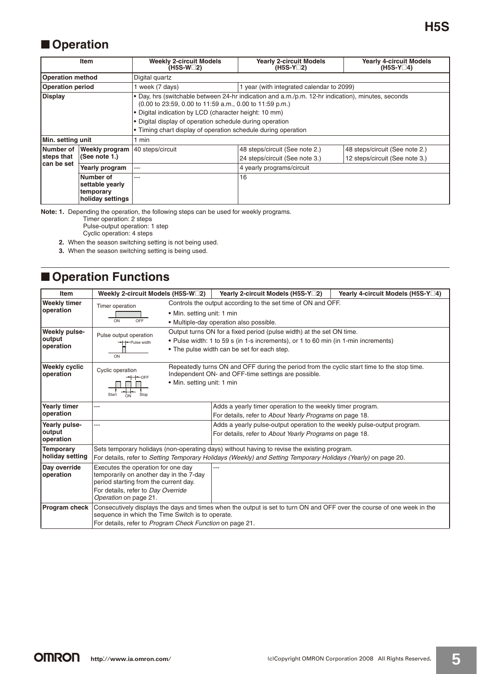## ■ **Operation**

|                         | <b>Item</b>                   | <b>Weekly 2-circuit Models</b><br>(H5S-W□2)                                                                                                                                                               | <b>Yearly 2-circuit Models</b><br>$(H5S-Y2)$ | <b>Yearly 4-circuit Models</b><br>$(H5S-Y_4)$ |  |  |
|-------------------------|-------------------------------|-----------------------------------------------------------------------------------------------------------------------------------------------------------------------------------------------------------|----------------------------------------------|-----------------------------------------------|--|--|
| <b>Operation method</b> |                               | Digital guartz                                                                                                                                                                                            |                                              |                                               |  |  |
| <b>Operation period</b> |                               | 1 week (7 days)<br>year (with integrated calendar to 2099)                                                                                                                                                |                                              |                                               |  |  |
| <b>Display</b>          |                               | • Day, hrs (switchable between 24-hr indication and a.m./p.m. 12-hr indication), minutes, seconds<br>$(0.00 \text{ to } 23.59, 0.00 \text{ to } 11.59 \text{ a.m.}, 0.00 \text{ to } 11.59 \text{ p.m.})$ |                                              |                                               |  |  |
|                         |                               | . Digital indication by LCD (character height: 10 mm)                                                                                                                                                     |                                              |                                               |  |  |
|                         |                               | . Digital display of operation schedule during operation                                                                                                                                                  |                                              |                                               |  |  |
|                         |                               | • Timing chart display of operation schedule during operation                                                                                                                                             |                                              |                                               |  |  |
| Min. setting unit       |                               | 1 min                                                                                                                                                                                                     |                                              |                                               |  |  |
| Number of               | Weekly program                | 40 steps/circuit                                                                                                                                                                                          | 48 steps/circuit (See note 2.)               | 48 steps/circuit (See note 2.)                |  |  |
| steps that              | (See note 1.)                 |                                                                                                                                                                                                           | 24 steps/circuit (See note 3.)               | 12 steps/circuit (See note 3.)                |  |  |
| can be set              | Yearly program                | ---                                                                                                                                                                                                       | 4 yearly programs/circuit                    |                                               |  |  |
|                         | Number of<br>settable yearly  | ---                                                                                                                                                                                                       | 16                                           |                                               |  |  |
|                         | temporary<br>holiday settings |                                                                                                                                                                                                           |                                              |                                               |  |  |

**Note: 1.** Depending the operation, the following steps can be used for weekly programs.

Timer operation: 2 steps

Pulse-output operation: 1 step

Cyclic operation: 4 steps

- **2.** When the season switching setting is not being used.
- **3.** When the season switching setting is being used.

## ■ **Operation Functions**

| <b>Item</b>                       | Weekly 2-circuit Models (H5S-W <sup>-2</sup> )           |                            | Yearly 2-circuit Models (H5S-Y□2)                                                                                                                 | Yearly 4-circuit Models (H5S-Y□4) |
|-----------------------------------|----------------------------------------------------------|----------------------------|---------------------------------------------------------------------------------------------------------------------------------------------------|-----------------------------------|
| <b>Weekly timer</b>               | Timer operation                                          |                            | Controls the output according to the set time of ON and OFF.                                                                                      |                                   |
| operation                         |                                                          | • Min. setting unit: 1 min |                                                                                                                                                   |                                   |
|                                   | OFF<br>ON                                                |                            | • Multiple-day operation also possible.                                                                                                           |                                   |
| Weekly pulse-                     | Pulse output operation                                   |                            | Output turns ON for a fixed period (pulse width) at the set ON time.                                                                              |                                   |
| output                            | -- Pulse width                                           |                            | • Pulse width: 1 to 59 s (in 1-s increments), or 1 to 60 min (in 1-min increments)                                                                |                                   |
| operation                         |                                                          |                            | • The pulse width can be set for each step.                                                                                                       |                                   |
|                                   | ON                                                       |                            |                                                                                                                                                   |                                   |
| <b>Weekly cyclic</b><br>operation | Cyclic operation                                         |                            | Repeatedly turns ON and OFF during the period from the cyclic start time to the stop time.<br>Independent ON- and OFF-time settings are possible. |                                   |
|                                   | $+$ + OFF                                                | • Min. setting unit: 1 min |                                                                                                                                                   |                                   |
|                                   |                                                          |                            |                                                                                                                                                   |                                   |
|                                   | Start<br>Stop<br>ON                                      |                            |                                                                                                                                                   |                                   |
| <b>Yearly timer</b>               | ---                                                      |                            | Adds a yearly timer operation to the weekly timer program.                                                                                        |                                   |
| operation                         |                                                          |                            | For details, refer to About Yearly Programs on page 18.                                                                                           |                                   |
| Yearly pulse-                     | ---                                                      |                            | Adds a yearly pulse-output operation to the weekly pulse-output program.                                                                          |                                   |
| output<br>operation               |                                                          |                            | For details, refer to About Yearly Programs on page 18.                                                                                           |                                   |
| <b>Temporary</b>                  |                                                          |                            | Sets temporary holidays (non-operating days) without having to revise the existing program.                                                       |                                   |
| holiday setting                   |                                                          |                            | For details, refer to Setting Temporary Holidays (Weekly) and Setting Temporary Holidays (Yearly) on page 20.                                     |                                   |
| Day override                      | Executes the operation for one day                       |                            |                                                                                                                                                   |                                   |
| operation                         | temporarily on another day in the 7-day                  |                            |                                                                                                                                                   |                                   |
|                                   | period starting from the current day.                    |                            |                                                                                                                                                   |                                   |
|                                   | For details, refer to Day Override                       |                            |                                                                                                                                                   |                                   |
|                                   | Operation on page 21.                                    |                            |                                                                                                                                                   |                                   |
| <b>Program check</b>              | sequence in which the Time Switch is to operate.         |                            | Consecutively displays the days and times when the output is set to turn ON and OFF over the course of one week in the                            |                                   |
|                                   | For details, refer to Program Check Function on page 21. |                            |                                                                                                                                                   |                                   |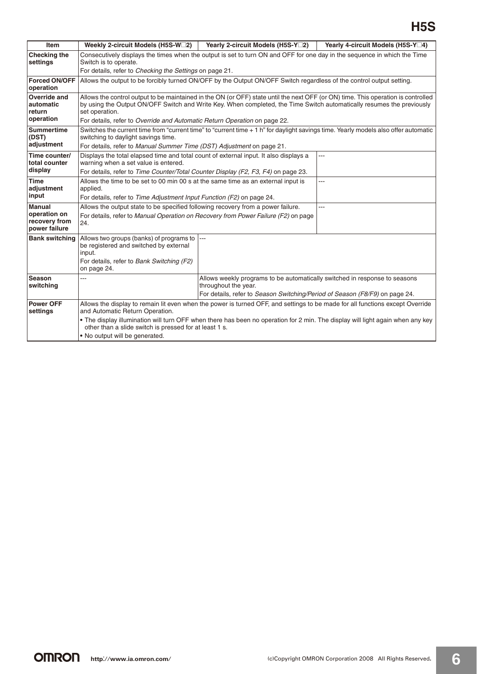# **H5S**

| Item                                                            | Weekly 2-circuit Models (H5S-W <sup>-2</sup> )                                                                                                                                                                                                                                                                                                                                                 | Yearly 2-circuit Models (H5S-Y <sup>-2</sup> ) | Yearly 4-circuit Models (H5S-Y□4) |  |  |
|-----------------------------------------------------------------|------------------------------------------------------------------------------------------------------------------------------------------------------------------------------------------------------------------------------------------------------------------------------------------------------------------------------------------------------------------------------------------------|------------------------------------------------|-----------------------------------|--|--|
| <b>Checking the</b><br>settings                                 | Consecutively displays the times when the output is set to turn ON and OFF for one day in the sequence in which the Time<br>Switch is to operate.                                                                                                                                                                                                                                              |                                                |                                   |  |  |
|                                                                 | For details, refer to Checking the Settings on page 21.                                                                                                                                                                                                                                                                                                                                        |                                                |                                   |  |  |
| <b>Forced ON/OFF</b><br>operation                               | Allows the output to be forcibly turned ON/OFF by the Output ON/OFF Switch regardless of the control output setting.                                                                                                                                                                                                                                                                           |                                                |                                   |  |  |
| Override and<br>automatic<br>return<br>operation                | Allows the control output to be maintained in the ON (or OFF) state until the next OFF (or ON) time. This operation is controlled<br>by using the Output ON/OFF Switch and Write Key. When completed, the Time Switch automatically resumes the previously<br>set operation.<br>For details, refer to Override and Automatic Return Operation on page 22.                                      |                                                |                                   |  |  |
| <b>Summertime</b><br>(DST)<br>adjustment                        | Switches the current time from "current time" to "current time + 1 h" for daylight savings time. Yearly models also offer automatic<br>switching to daylight savings time.<br>For details, refer to Manual Summer Time (DST) Adjustment on page 21.                                                                                                                                            |                                                |                                   |  |  |
| Time counter/<br>total counter<br>display                       | Displays the total elapsed time and total count of external input. It also displays a<br>---<br>warning when a set value is entered.<br>For details, refer to Time Counter/Total Counter Display (F2, F3, F4) on page 23.                                                                                                                                                                      |                                                |                                   |  |  |
| <b>Time</b><br>adjustment<br>input                              | Allows the time to be set to 00 min 00 s at the same time as an external input is<br>---<br>applied.<br>For details, refer to Time Adjustment Input Function (F2) on page 24.                                                                                                                                                                                                                  |                                                |                                   |  |  |
| <b>Manual</b><br>operation on<br>recovery from<br>power failure | Allows the output state to be specified following recovery from a power failure.<br>For details, refer to Manual Operation on Recovery from Power Failure (F2) on page<br>24.                                                                                                                                                                                                                  |                                                |                                   |  |  |
| <b>Bank switching</b>                                           | Allows two groups (banks) of programs to<br>be registered and switched by external<br>input.<br>For details, refer to Bank Switching (F2)<br>on page 24.                                                                                                                                                                                                                                       | ---                                            |                                   |  |  |
| <b>Season</b><br>switching                                      | Allows weekly programs to be automatically switched in response to seasons<br>---<br>throughout the year.<br>For details, refer to Season Switching/Period of Season (F8/F9) on page 24.                                                                                                                                                                                                       |                                                |                                   |  |  |
| <b>Power OFF</b><br>settings                                    | Allows the display to remain lit even when the power is turned OFF, and settings to be made for all functions except Override<br>and Automatic Return Operation.<br>. The display illumination will turn OFF when there has been no operation for 2 min. The display will light again when any key<br>other than a slide switch is pressed for at least 1 s.<br>. No output will be generated. |                                                |                                   |  |  |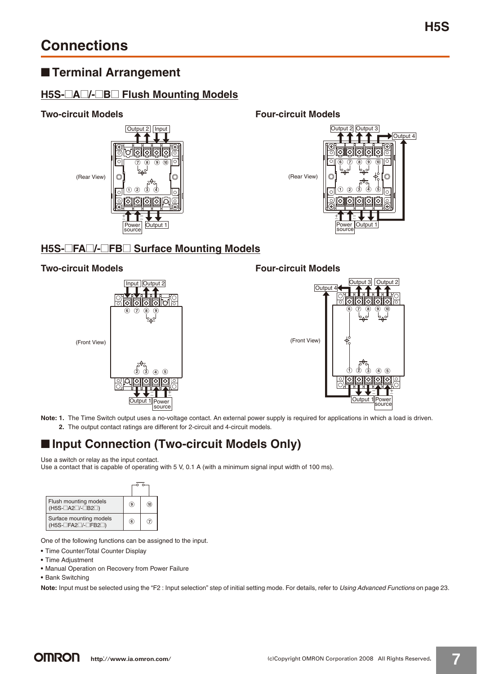### ■ **Terminal Arrangement**

### **H5S-**@**A**@**/-**@**B**@ **Flush Mounting Models**



**Two-circuit Models Four-circuit Models**



### **H5S-**@**FA**@**/-**@**FB**@ **Surface Mounting Models**

### **Two-circuit Models Four-circuit Models**





**Note: 1.** The Time Switch output uses a no-voltage contact. An external power supply is required for applications in which a load is driven. **2.** The output contact ratings are different for 2-circuit and 4-circuit models.

### ■ **Input Connection (Two-circuit Models Only)**

Use a switch or relay as the input contact.

Use a contact that is capable of operating with 5 V, 0.1 A (with a minimum signal input width of 100 ms).



One of the following functions can be assigned to the input.

- **•** Time Counter/Total Counter Display
- **•** Time Adjustment
- **•** Manual Operation on Recovery from Power Failure
- **•** Bank Switching

**Note:** Input must be selected using the "F2 : Input selection" step of initial setting mode. For details, refer to Using Advanced Functions on page 23.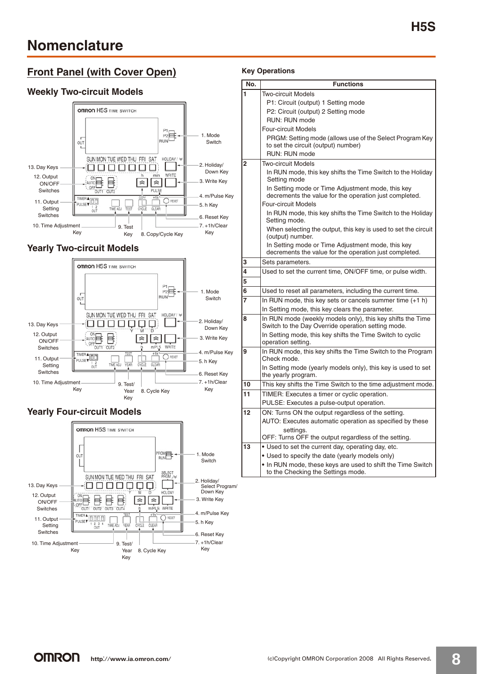### **Front Panel (with Cover Open)**

### **Weekly Two-circuit Models**



### **Yearly Two-circuit Models**



### **Yearly Four-circuit Models**



### **Key Operations**

| No. | Functions                                                                                                        |
|-----|------------------------------------------------------------------------------------------------------------------|
| 1   | Two-circuit Models                                                                                               |
|     | P1: Circuit (output) 1 Setting mode                                                                              |
|     | P2: Circuit (output) 2 Setting mode                                                                              |
|     | RUN: RUN mode                                                                                                    |
|     | <b>Four-circuit Models</b>                                                                                       |
|     | PRGM: Setting mode (allows use of the Select Program Key                                                         |
|     | to set the circuit (output) number)                                                                              |
|     | RUN: RUN mode                                                                                                    |
| 2   | Two-circuit Models                                                                                               |
|     | In RUN mode, this key shifts the Time Switch to the Holiday<br>Setting mode                                      |
|     | In Setting mode or Time Adjustment mode, this key<br>decrements the value for the operation just completed.      |
|     | <b>Four-circuit Models</b>                                                                                       |
|     | In RUN mode, this key shifts the Time Switch to the Holiday<br>Setting mode.                                     |
|     | When selecting the output, this key is used to set the circuit<br>(output) number.                               |
|     | In Setting mode or Time Adjustment mode, this key<br>decrements the value for the operation just completed.      |
| 3   | Sets parameters.                                                                                                 |
| 4   | Used to set the current time, ON/OFF time, or pulse width.                                                       |
| 5   |                                                                                                                  |
| 6   | Used to reset all parameters, including the current time.                                                        |
| 7   | In RUN mode, this key sets or cancels summer time (+1 h)                                                         |
|     | In Setting mode, this key clears the parameter.                                                                  |
| 8   | In RUN mode (weekly models only), this key shifts the Time<br>Switch to the Day Override operation setting mode. |
|     | In Setting mode, this key shifts the Time Switch to cyclic<br>operation setting.                                 |
| 9   | In RUN mode, this key shifts the Time Switch to the Program<br>Check mode.                                       |
|     | In Setting mode (yearly models only), this key is used to set<br>the yearly program.                             |
| 10  | This key shifts the Time Switch to the time adjustment mode.                                                     |
| 11  | TIMER: Executes a timer or cyclic operation.                                                                     |
|     | PULSE: Executes a pulse-output operation.                                                                        |
| 12  | ON: Turns ON the output regardless of the setting.                                                               |
|     | AUTO: Executes automatic operation as specified by these                                                         |
|     | settings.                                                                                                        |
|     | OFF: Turns OFF the output regardless of the setting.                                                             |
| 13  | . Used to set the current day, operating day, etc.                                                               |
|     | • Used to specify the date (yearly models only)                                                                  |
|     | • In RUN mode, these keys are used to shift the Time Switch<br>to the Checking the Settings mode.                |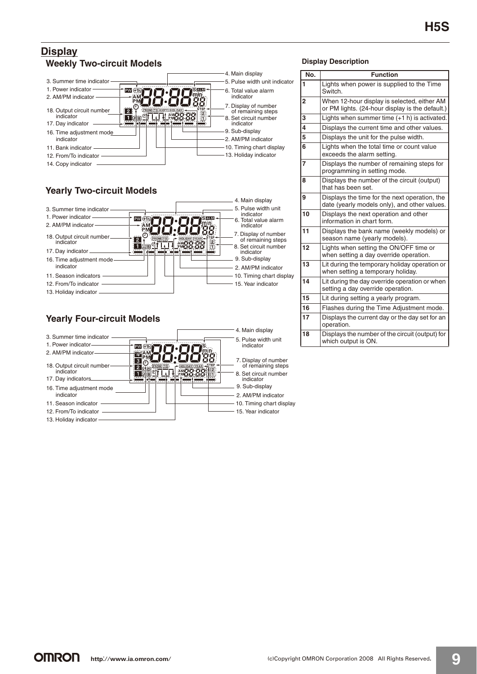### **Display Weekly Two-circuit Models**



13. Holiday indicator

### **Yearly Four-circuit Models**



#### **Display Description**

| No.            | <b>Function</b>                                                                                |
|----------------|------------------------------------------------------------------------------------------------|
| 1              | Lights when power is supplied to the Time<br>Switch.                                           |
| $\overline{2}$ | When 12-hour display is selected, either AM<br>or PM lights. (24-hour display is the default.) |
| 3              | Lights when summer time (+1 h) is activated.                                                   |
| 4              | Displays the current time and other values.                                                    |
| 5              | Displays the unit for the pulse width.                                                         |
| 6              | Lights when the total time or count value<br>exceeds the alarm setting.                        |
| 7              | Displays the number of remaining steps for<br>programming in setting mode.                     |
| 8              | Displays the number of the circuit (output)<br>that has been set.                              |
| 9              | Displays the time for the next operation, the<br>date (yearly models only), and other values.  |
| 10             | Displays the next operation and other<br>information in chart form.                            |
| 11             | Displays the bank name (weekly models) or<br>season name (yearly models).                      |
| 12             | Lights when setting the ON/OFF time or<br>when setting a day override operation.               |
| 13             | Lit during the temporary holiday operation or<br>when setting a temporary holiday.             |
| 14             | Lit during the day override operation or when<br>setting a day override operation.             |
| 15             | Lit during setting a yearly program.                                                           |
| 16             | Flashes during the Time Adjustment mode.                                                       |
| 17             | Displays the current day or the day set for an<br>operation.                                   |
| 18             | Displays the number of the circuit (output) for<br>which output is ON.                         |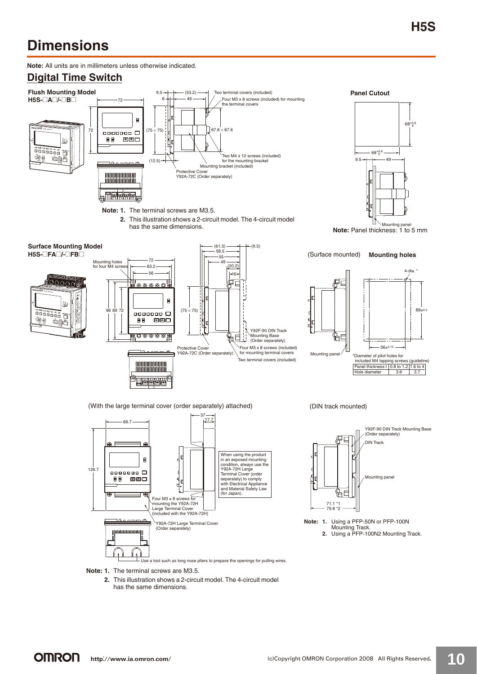# **Dimensions**

**Note:** All units are in millimeters unless otherwise indicated.

### **Digital Time Switch**





Y92F-90 DIN Track Mounting Base (Order separately) DIN Track Mounting panel HΕ 71.1 \*1 79.8 \*2 **Note: 1.** Using a PFP-50N or PFP-100N Mounting Track. **2.** Using a PFP-100N2 Mounting Track.

**Note: 1.** The terminal screws are M3.5.

**2.** This illustration shows a 2-circuit model. The 4-circuit model has the same dimensions.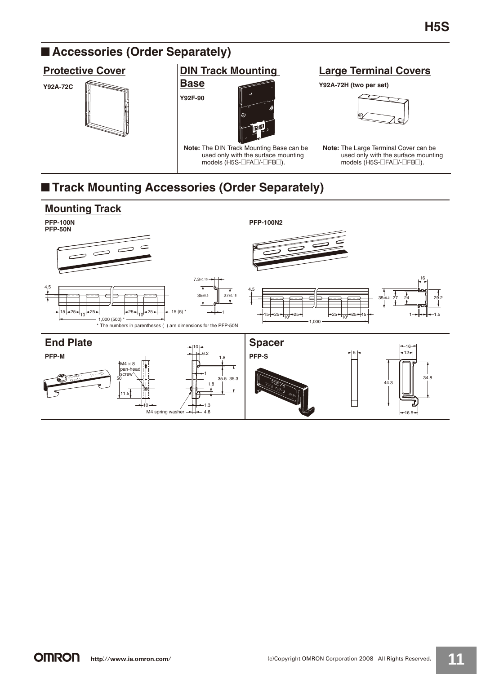# ■ **Accessories (Order Separately)**

### **Protective Cover**

### **Y92A-72C**



### **DIN Track Mounting**

### **Base Y92F-90**



**Note:** The DIN Track Mounting Base can be used only with the surface mounting models (H5S-@FA@/-@FB@).

### **Large Terminal Covers**

### **Y92A-72H (two per set)**



**Note:** The Large Terminal Cover can be used only with the surface mounting models (H5S- $\Box$ FA $\Box$ /- $\Box$ FB $\Box$ ).

# ■ **Track Mounting Accessories (Order Separately)**

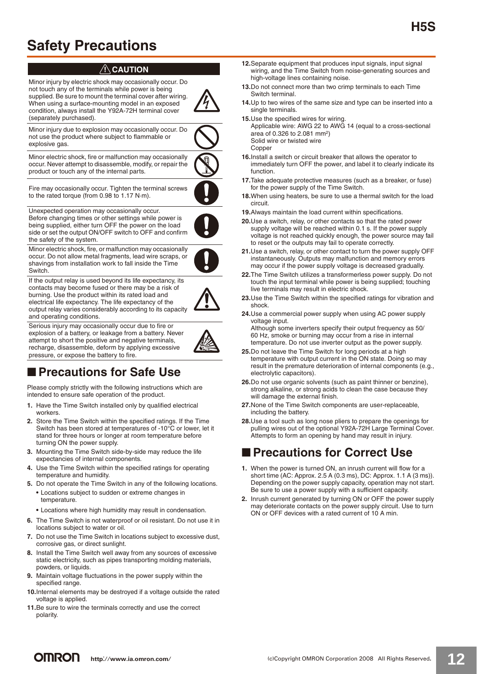# **Safety Precautions**

### !**CAUTION**

Minor injury by electric shock may occasionally occur. Do not touch any of the terminals while power is being supplied. Be sure to mount the terminal cover after wiring. When using a surface-mounting model in an exposed condition, always install the Y92A-72H terminal cover (separately purchased).

Minor injury due to explosion may occasionally occur. Do not use the product where subject to flammable or explosive gas.

Minor electric shock, fire or malfunction may occasionally occur. Never attempt to disassemble, modify, or repair the product or touch any of the internal parts.

Fire may occasionally occur. Tighten the terminal screws to the rated torque (from 0.98 to 1.17 N·m).

Unexpected operation may occasionally occur. Before changing times or other settings while power is being supplied, either turn OFF the power on the load side or set the output ON/OFF switch to OFF and confirm the safety of the system.

Minor electric shock, fire, or malfunction may occasionally occur. Do not allow metal fragments, lead wire scraps, or shavings from installation work to fall inside the Time Switch.

If the output relay is used beyond its life expectancy, its contacts may become fused or there may be a risk of burning. Use the product within its rated load and electrical life expectancy. The life expectancy of the output relay varies considerably according to its capacity and operating conditions.

Serious injury may occasionally occur due to fire or explosion of a battery, or leakage from a battery. Never attempt to short the positive and negative terminals, recharge, disassemble, deform by applying excessive pressure, or expose the battery to fire.



Please comply strictly with the following instructions which are intended to ensure safe operation of the product.

- **1.** Have the Time Switch installed only by qualified electrical workers.
- **2.** Store the Time Switch within the specified ratings. If the Time Switch has been stored at temperatures of -10°C or lower, let it stand for three hours or longer at room temperature before turning ON the power supply.
- **3.** Mounting the Time Switch side-by-side may reduce the life expectancies of internal components.
- **4.** Use the Time Switch within the specified ratings for operating temperature and humidity.
- **5.** Do not operate the Time Switch in any of the following locations. **•** Locations subject to sudden or extreme changes in
	- temperature.
	- **•** Locations where high humidity may result in condensation.
- **6.** The Time Switch is not waterproof or oil resistant. Do not use it in locations subject to water or oil.
- **7.** Do not use the Time Switch in locations subject to excessive dust, corrosive gas, or direct sunlight.
- **8.** Install the Time Switch well away from any sources of excessive static electricity, such as pipes transporting molding materials, powders, or liquids.
- **9.** Maintain voltage fluctuations in the power supply within the specified range.
- **10.**Internal elements may be destroyed if a voltage outside the rated voltage is applied.
- **11.**Be sure to wire the terminals correctly and use the correct polarity.
- **12.**Separate equipment that produces input signals, input signal wiring, and the Time Switch from noise-generating sources and high-voltage lines containing noise.
- **13.**Do not connect more than two crimp terminals to each Time Switch terminal.
- **14.**Up to two wires of the same size and type can be inserted into a single terminals.
- **15.**Use the specified wires for wiring.

Applicable wire: AWG 22 to AWG 14 (equal to a cross-sectional area of 0.326 to 2.081 mm2) Solid wire or twisted wire **Copper** 

- **16.**Install a switch or circuit breaker that allows the operator to immediately turn OFF the power, and label it to clearly indicate its function.
- **17.**Take adequate protective measures (such as a breaker, or fuse) for the power supply of the Time Switch.
- **18.**When using heaters, be sure to use a thermal switch for the load circuit.
- **19.**Always maintain the load current within specifications.
- **20.**Use a switch, relay, or other contacts so that the rated power supply voltage will be reached within 0.1 s. If the power supply voltage is not reached quickly enough, the power source may fail to reset or the outputs may fail to operate correctly.
- **21.**Use a switch, relay, or other contact to turn the power supply OFF instantaneously. Outputs may malfunction and memory errors may occur if the power supply voltage is decreased gradually.
- **22.**The Time Switch utilizes a transformerless power supply. Do not touch the input terminal while power is being supplied; touching live terminals may result in electric shock.
- **23.**Use the Time Switch within the specified ratings for vibration and shock.
- **24.**Use a commercial power supply when using AC power supply voltage input.

Although some inverters specify their output frequency as 50/ 60 Hz, smoke or burning may occur from a rise in internal temperature. Do not use inverter output as the power supply.

- **25.**Do not leave the Time Switch for long periods at a high temperature with output current in the ON state. Doing so may result in the premature deterioration of internal components (e.g., electrolytic capacitors).
- **26.**Do not use organic solvents (such as paint thinner or benzine), strong alkaline, or strong acids to clean the case because they will damage the external finish.
- **27.**None of the Time Switch components are user-replaceable, including the battery.
- **28.**Use a tool such as long nose pliers to prepare the openings for pulling wires out of the optional Y92A-72H Large Terminal Cover. Attempts to form an opening by hand may result in injury.

### ■ **Precautions for Correct Use**

- **1.** When the power is turned ON, an inrush current will flow for a short time (AC: Approx. 2.5 A (0.3 ms), DC: Approx. 1.1 A (3 ms)). Depending on the power supply capacity, operation may not start. Be sure to use a power supply with a sufficient capacity.
- **2.** Inrush current generated by turning ON or OFF the power supply may deteriorate contacts on the power supply circuit. Use to turn ON or OFF devices with a rated current of 10 A min.



**H5S**



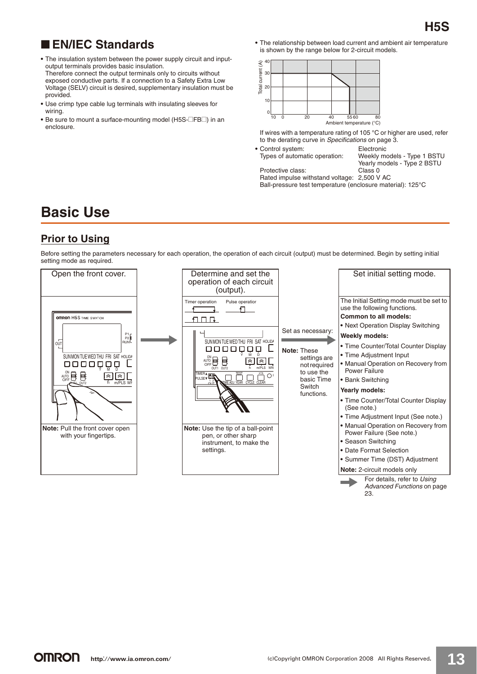## ■ **EN/IEC Standards**

- **•** The insulation system between the power supply circuit and inputoutput terminals provides basic insulation. Therefore connect the output terminals only to circuits without exposed conductive parts. If a connection to a Safety Extra Low Voltage (SELV) circuit is desired, supplementary insulation must be provided.
- **•** Use crimp type cable lug terminals with insulating sleeves for wiring.
- Be sure to mount a surface-mounting model (H5S-**FB**D) in an enclosure.

**•** The relationship between load current and ambient air temperature is shown by the range below for 2-circuit models.



If wires with a temperature rating of 105 °C or higher are used, refer to the derating curve in Specifications on page 3.

• Control system: Electronic<br>Types of automatic operation: Weekly m

Protective class:

Weekly models - Type 1 BSTU Yearly models - Type 2 BSTU<br>Class 0

Rated impulse withstand voltage: 2,500 V AC Ball-pressure test temperature (enclosure material): 125°C

# **Basic Use**

### **Prior to Using**

Before setting the parameters necessary for each operation, the operation of each circuit (output) must be determined. Begin by setting initial setting mode as required.

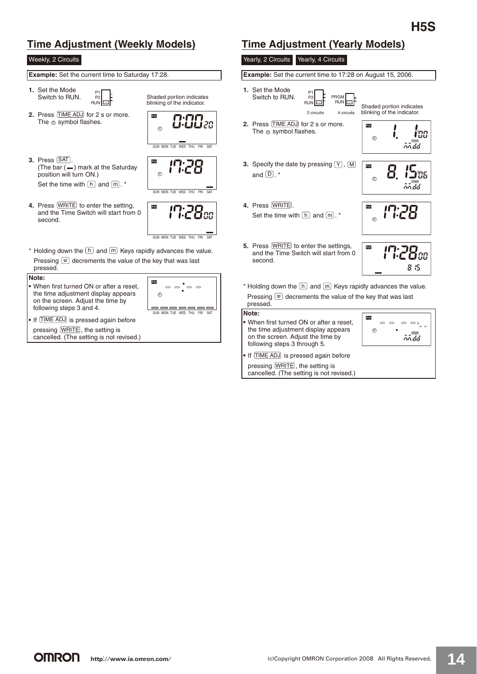## **Time Adjustment (Weekly Models) Time Adjustment (Yearly Models)**

### Weekly, 2 Circuits

• If TIME ADJ is pressed again before pressing **WRITE**, the setting is cancelled. (The setting is not revised.)

| Example: Set the current time to Saturday 17:28.                                                                                                             |                                                                                                      | Example:                                   |
|--------------------------------------------------------------------------------------------------------------------------------------------------------------|------------------------------------------------------------------------------------------------------|--------------------------------------------|
| 1. Set the Mode<br>P <sub>1</sub><br>Switch to RUN.<br>P <sub>2</sub><br>RUN <sup>I</sup>                                                                    | Shaded portion indicates<br>blinking of the indicator.                                               | 1. Set the<br>Switch                       |
| 2. Press TIME ADJ for 2 s or more.<br>The $\odot$ symbol flashes.                                                                                            | PW<br>0.0020<br>0.0020<br>ጣ<br>SUN MON TUF WED THU FRI<br>SAT                                        | 2. Press<br>The $\odot$                    |
| 3. Press [SAT].<br>(The bar (-) mark at the Saturday<br>position will turn ON.)<br>Set the time with $\boxed{h}$ and $\boxed{m}$ . *                         | PW<br>Θ<br>SUN MON TUE WED THU FRI SAT                                                               | 3. Specify<br>and $(D)$                    |
| 4. Press WRITE to enter the setting,<br>and the Time Switch will start from 0<br>second.                                                                     | PW<br>7. 717<br>•C O 88                                                                              | 4. Press<br>Set the                        |
| * Holding down the $\boxed{h}$ and $\boxed{m}$ Keys rapidly advances the value.<br>Pressing $\leq$ decrements the value of the key that was last<br>pressed. | SUN MON TUF WED THU FRI SAT                                                                          | 5. Press<br>and the<br>second              |
| Note:<br>• When first turned ON or after a reset,<br>the time adjustment display appears<br>on the screen. Adjust the time by<br>following steps 3 and 4.    | PW<br>$\Rightarrow$ $\Rightarrow$ $\Rightarrow$ $\Rightarrow$<br>O<br>SUN MON TUE WED THU FRI<br>SAT | * Holding<br>Pressing<br>pressed.<br>Note: |

### Yearly, 2 Circuits Yearly, 4 Circuits

**Example:** Set the current time to 17:28 on August 15, 2006.

**1.** Set the Mode P1 P2 PRGM Switch to RUN.  $RUN$ RUN Shaded portion indicates blinking of the indicator. 4 circuits 2 circuits **2.** Press TIME ADJ for 2 s or more. PW The  $\odot$  symbol flashes. i'ng İ.  $\phi$ nn dd **3.** Specify the date by pressing  $(Y)$ ,  $\overline{M}$ PW  $15<sub>us</sub>$ 8. and  $\Box$ . \*  $\odot$ nn dd **4.** Press **WRITE**. PW rea Set the time with  $\lfloor h \rfloor$  and  $\lfloor m \rfloor$ . \* ø **5.** Press **WRITE** to enter the settings, PW 17:28cc and the Time Switch will start from 0 second. 8.5 \* Holding down the  $\lfloor h \rfloor$  and  $\lfloor m \rfloor$  Keys rapidly advances the value. ressing  $\lbrack \approx \rbrack$  decrements the value of the key that was last

#### **Note:**

**•** When first turned ON or after a reset, the time adjustment display appears on the screen. Adjust the time by following steps 3 through 5.



• If TIME ADJ is pressed again before pressing [WRITE], the setting is cancelled. (The setting is not revised.)

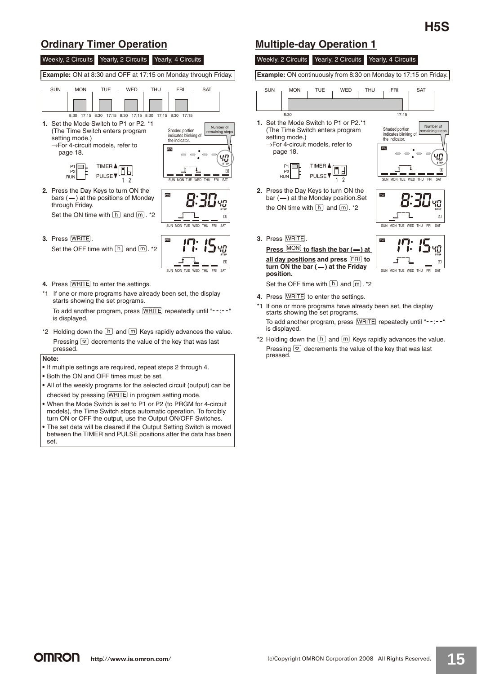### **Ordinary Timer Operation Multiple-day Operation 1**



#### **Note:**

- **•** If multiple settings are required, repeat steps 2 through 4.
- **•** Both the ON and OFF times must be set.
- **•** All of the weekly programs for the selected circuit (output) can be checked by pressing [WRITE] in program setting mode.
- **•** When the Mode Switch is set to P1 or P2 (to PRGM for 4-circuit models), the Time Switch stops automatic operation. To forcibly turn ON or OFF the output, use the Output ON/OFF Switches.
- **•** The set data will be cleared if the Output Setting Switch is moved between the TIMER and PULSE positions after the data has been set.



**Example:** ON continuously from 8:30 on Monday to 17:15 on Friday.



- 4. Press **WRITE** to enter the settings.
- \*1 If one or more programs have already been set, the display starts showing the set programs. To add another program, press WRITE repeatedly until "--:--" is displayed.
- \*2 Holding down the  $[h]$  and  $[m]$  Keys rapidly advances the value. Pressing  $\leq$  decrements the value of the key that was last pressed.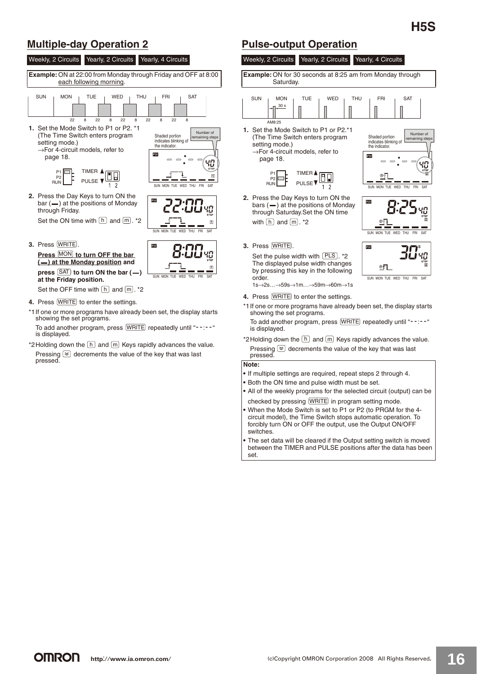Number of remaining steps

ЧД

### **Multiple-day Operation 2 Pulse-output Operation**

Weekly, 2 Circuits Yearly, 2 Circuits Yearly, 4 Circuits **Example:** ON at 22:00 from Monday through Friday and OFF at 8:00 each following morning.  $SUN$   $\parallel$   $MON$   $\parallel$   $\top UE$   $\parallel$   $WED$   $\parallel$   $THU$   $\parallel$   $FRI$   $\parallel$   $SAT$ 22 8 22 8 22 8 22 8 22 8 **1.** Set the Mode Switch to P1 or P2. \*1 Number of (The Time Switch enters program Shaded portion indicates blinking of the indicator. aining s setting mode.) →For 4-circuit models, refer to **DAM**  page 18. ЧŪ TIMER P1 P2 RUN
L
<sub>FULSE</sub> PULSE SUN MON TUE WED THU FRI SAT **2.** Press the Day Keys to turn ON the  $bar (= )$  at the positions of Monday through Friday. Set the ON time with  $\lfloor h \rfloor$  and  $\lfloor m \rfloor$ . \*2  $\boxed{1}$ SUN MON TUE WED THU FRI SAT **3.** Press **WRITE**.  $PW$ 0.00

**Press** MON to turn OFF the bar  $($  **(
–** ) at the Monday position and press **SAT** to turn ON the bar (-) **at the Friday position.**

Set the OFF time with  $\lfloor h \rfloor$  and  $\lfloor m \rfloor$ . \*2

- **4.** Press **WRITE** to enter the settings.
- \*1If one or more programs have already been set, the display starts showing the set programs.

SUN MON TUE WED THU FRI SAT

To add another program, press [WRITE] repeatedly until "--:--" is displayed.

\*2 Holding down the  $\lfloor h \rfloor$  and  $\lfloor m \rfloor$  Keys rapidly advances the value. Pressing  $\leq$  decrements the value of the key that was last pressed.



**2.** Press the Day Keys to turn ON the bars  $($ —) at the positions of Monday through Saturday.Set the ON time with  $\lfloor h \rfloor$  and  $\lfloor m \rfloor$ . \*2

TIMER **A** 

Œ  $\overline{2}$ 

Saturday.

30 s

Weekly, 2 Circuits Yearly, 2 Circuits Yearly, 4 Circuits

**Example:** ON for 30 seconds at 8:25 am from Monday through

Shaded portion indicates blinking of the indicator.

PW

**DW** 

PW

SUN MON TUE WED THU FRI SAT

SUN MON TUE WED THU FRI SAT

SUN MON TUE WED THU

 $\circ$ n

**3.** Press [WRITE].

Set the pulse width with  $[PLS]$ . \*2 The displayed pulse width changes by pressing this key in the following order. 1s→2s…→59s→1m…→59m→60m→1s

- **4.** Press **WRITE** to enter the settings.
- \*1If one or more programs have already been set, the display starts showing the set programs.

To add another program, press [WRITE] repeatedly until "--:--" is displayed.

\*2 Holding down the  $\lfloor h \rfloor$  and  $\lfloor m \rfloor$  Keys rapidly advances the value. Pressing  $\approx$  decrements the value of the key that was last pressed.

**Note:**

- **•** If multiple settings are required, repeat steps 2 through 4.
- **•** Both the ON time and pulse width must be set.
- **•** All of the weekly programs for the selected circuit (output) can be checked by pressing **WRITE** in program setting mode.
- **•** When the Mode Switch is set to P1 or P2 (to PRGM for the 4 circuit model), the Time Switch stops automatic operation. To forcibly turn ON or OFF the output, use the Output ON/OFF switches.
- **•** The set data will be cleared if the Output setting switch is moved between the TIMER and PULSE positions after the data has been set.

**OMRON**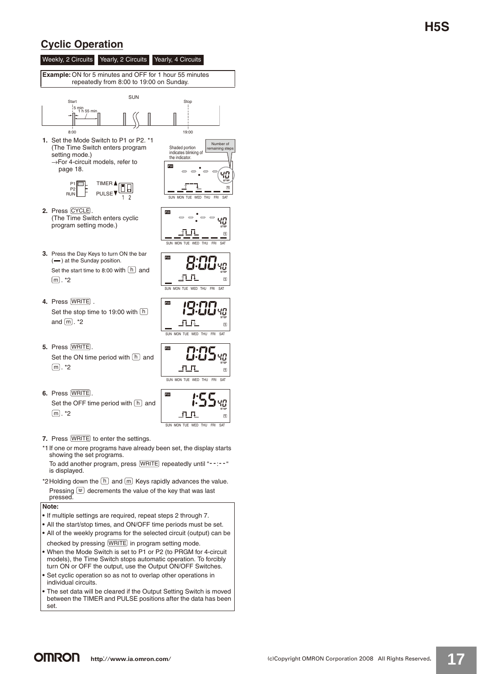### **Cyclic Operation**



- showing the set programs. To add another program, press WRITE repeatedly until "--:--"
- is displayed. \*2 Holding down the  $[h]$  and  $[m]$  Keys rapidly advances the value. Pressing  $\leq$  decrements the value of the key that was last

```
pressed.
```


- **•** If multiple settings are required, repeat steps 2 through 7.
- **•** All the start/stop times, and ON/OFF time periods must be set. **•** All of the weekly programs for the selected circuit (output) can be
- checked by pressing [WRITE] in program setting mode. **•** When the Mode Switch is set to P1 or P2 (to PRGM for 4-circuit models), the Time Switch stops automatic operation. To forcibly
- turn ON or OFF the output, use the Output ON/OFF Switches. **•** Set cyclic operation so as not to overlap other operations in individual circuits.
- **•** The set data will be cleared if the Output Setting Switch is moved between the TIMER and PULSE positions after the data has been set.

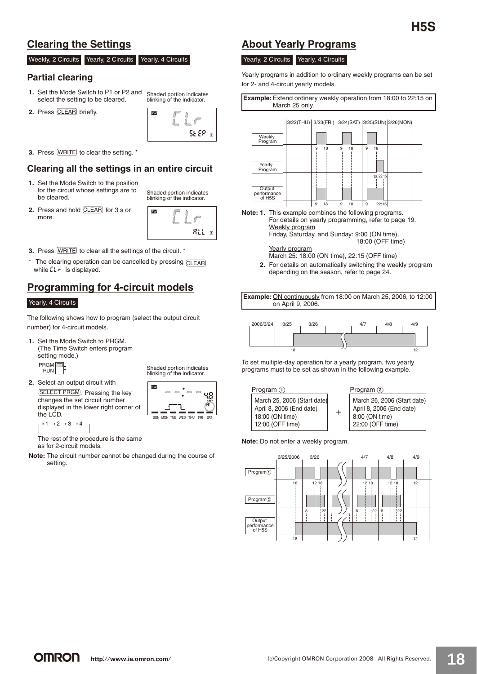### **Clearing the Settings**

#### Weekly, 2 Circuits Yearly, 2 Circuits Yearly, 4 Circuits

### **Partial clearing**

- **1.** Set the Mode Switch to P1 or P2 and Set the Mode Switch to P1 or P2 and shaded portion indicates<br>select the setting to be cleared. Shinking of the indicator. blinking of the indicator.
- **2.** Press CLEAR briefly.



**3.** Press **WRITE** to clear the setting. \*

### **Clearing all the settings in an entire circuit**

- **1.** Set the Mode Switch to the position for the circuit whose settings are to
	- Shaded portion indicates blinking of the indicator.
- **2.** Press and hold CLEAR for 3 s or more.



- **3.** Press **WRITE** to clear all the settings of the circuit. \*
- \* The clearing operation can be cancelled by pressing CLEAR while  $LLr$  is displayed.

### **Programming for 4-circuit models**

#### Yearly, 4 Circuits

The following shows how to program (select the output circuit number) for 4-circuit models.

- **1.** Set the Mode Switch to PRGM. (The Time Switch enters program setting mode.) PRGM<sup>P</sup> RUN
- **2.** Select an output circuit with SELECT PRGM . Pressing the key changes the set circuit number displayed in the lower right corner of the LCD.

 $\overline{\phantom{a}}$  $\overline{ }$ 48

SUN MON TUE WED THU FRI SAT

Shaded portion indicates blinking of the indicator.

 $\rightarrow$  1  $\rightarrow$  2  $\rightarrow$  3  $\rightarrow$  4

The rest of the procedure is the same as for 2-circuit models.

**Note:** The circuit number cannot be changed during the course of setting.

### **About Yearly Programs**

#### Yearly, 2 Circuits Yearly, 4 Circuits

Yearly programs in addition to ordinary weekly programs can be set for 2- and 4-circuit yearly models.

**Example:**Extend ordinary weekly operation from 18:00 to 22:15 on March 25 only.



**Note: 1.** This example combines the following programs. For details on yearly programming, refer to page 19. Weekly program Friday, Saturday, and Sunday: 9:00 (ON time), 18:00 (OFF time)

Yearly program March 25: 18:00 (ON time), 22:15 (OFF time)

**2.** For details on automatically switching the weekly program depending on the season, refer to page 24.

**Example:** ON continuously from 18:00 on March 25, 2006, to 12:00 on April 9, 2006.



To set multiple-day operation for a yearly program, two yearly programs must to be set as shown in the following example.



**Note:** Do not enter a weekly program.

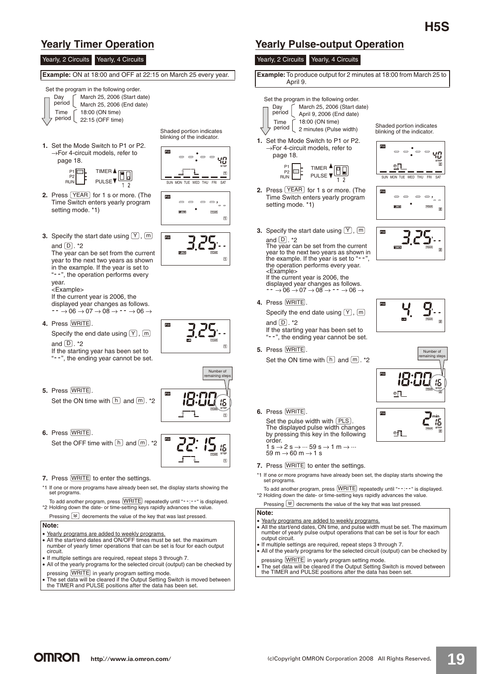Yearly, 2 Circuits Yearly, 4 Circuits

#### **Example:** ON at 18:00 and OFF at 22:15 on March 25 every year.





Number of aining step

15

 $\overline{1}$ 

15  $\overline{a}$ 

 $\Box$ 

 $\overline{1}$ 

SUN MON TUE WED THU FRI SAT

Shaded portion indicates blinking of the indicator.

EXV.

**3.** Specify the start date using  $(Y)$ ,  $[m]$ and  $\boxed{\mathsf{D}}$  . \*2

The year can be set from the current year to the next two years as shown in the example. If the year is set to "--", the operation performs every year. .<br><Example>

If the current year is 2006, the displayed year changes as follows.  $\overrightarrow{\cdot}$   $\rightarrow$  06  $\rightarrow$  07  $\rightarrow$  08  $\rightarrow$   $\overrightarrow{\cdot}$   $\rightarrow$  06  $\rightarrow$ 

**4.** Press WRITE.

Specify the end date using  $(Y)$ ,  $(m)$ and  $\lfloor \underline{\mathsf{D}} \rfloor$ . \*2

If the starting year has been set to "--", the ending year cannot be set.

**5.** Press **WRITE**.

Set the ON time with  $\lfloor h \rfloor$  and  $\lfloor m \rfloor$ . \*2

**6.** Press **WRITE**.

Set the OFF time with  $\lfloor h \rfloor$  and  $\lfloor m \rfloor$ . \*2

- **7.** Press **WRITE** to enter the settings.
- \*1 If one or more programs have already been set, the display starts showing the set programs
- To add another program, press WRITE repeatedly until "--:--" is displayed. \*2 Holding down the date- or time-setting keys rapidly advances the value. Pressing  $\gtrapprox$  decrements the value of the key that was last pressed.

### **Note:**

- Yearly programs are added to weekly programs.
- All the start/end dates and ON/OFF times must be set. the maximum number of yearly timer operations that can be set is four for each output circuit.
- If multiple settings are required, repeat steps 3 through 7.
- All of the yearly programs for the selected circuit (output) can be checked by **WRITE**
- pressing WRITEJ in yearly program setting mode.<br>• The set data will be cleared if the Output Setting Switch is moved between the TIMER and PULSE positions after the data has been set.

### **Yearly Timer Operation Yearly Pulse-output Operation**

#### Yearly, 2 Circuits Yearly, 4 Circuits

**Example:** To produce output for 2 minutes at 18:00 from March 25 to April 9.

Set the program in the following order. March 25, 2006 (Start date) Day period April 9, 2006 (End date) 18:00 (ON time) Time Shaded portion indicates period 2 minutes (Pulse width) blinking of the indicator. **1.** Set the Mode Switch to P1 or P2. →For 4-circuit models, refer to  $\Rightarrow$  $\Rightarrow$ 40 page 18. TIMER  $\triangle$ P1 P2 m loF  $RUN$  PULSE  $\nabla$ WED TULL EDI CAT **2.** Press  $YEAR$  for 1 s or more. (The **PW** Time Switch enters yearly program  $\overline{\phantom{0}}$  $\Rightarrow$ setting mode. \*1)  $\overline{2}$ **3.** Specify the start date using  $(Y)$ ,  $[m]$ and  $\Box$  . \*2 The year can be set from the current year to the next two years as shown in the example. If the year is set to "-the operation performs every year. <Example> If the current year is 2006, the displayed year changes as follows.<br> $- \rightarrow 06 \rightarrow 07 \rightarrow 08 \rightarrow - \rightarrow 06 \rightarrow$ 4. Press WRITE. Specify the end date using  $(Y)$ ,  $[m]$ and  $\Box$  \*2 If the starting year has been set to "--", the ending year cannot be set. **5.** Press WRITE. Number of remaining steps Set the ON time with  $\lfloor h \rfloor$  and  $\lfloor m \rfloor$ . \*2 PW  $I\Gamma\cdot\Gamma\Gamma$ iči LiLi 15  $n$ **6.** Press [WRITE]. **PW** Set the pulse width with  $(PLS)$ .<br>The displayed pulse width changes PLS 柩  $\underline{\mathbb{P}}$ by pressing this key in the following order.  $1 \text{ s} \rightarrow 2 \text{ s} \rightarrow \cdots 59 \text{ s} \rightarrow 1 \text{ m} \rightarrow \cdots$  $59 \text{ m} \rightarrow 60 \text{ m} \rightarrow 1 \text{ s}$ **7.** Press **WRITE** to enter the settings. \*1 If one or more programs have already been set, the display starts showing the set programs. To add another program, press WRITE repeatedly until "--:--" is displayed. \*2 Holding down the date- or time-setting keys rapidly advances the value. Pressing  $\gtrapprox$  decrements the value of the key that was last pressed. **Note:** • Yearly programs are added to weekly programs. • All the start/end dates, ON time, and pulse width must be set. The maximum number of yearly pulse output operations that can be set is four for each output circuit. • If multiple settings are required, repeat steps 3 through 7. • All of the yearly programs for the selected circuit (output) can be checked by **WRITE** pressing **WRITE** in yearly program setting mode. • The set data will be cleared if the Output Setting Switch is moved between the TIMER and PULSE positions after the data has been set.

**OMRON**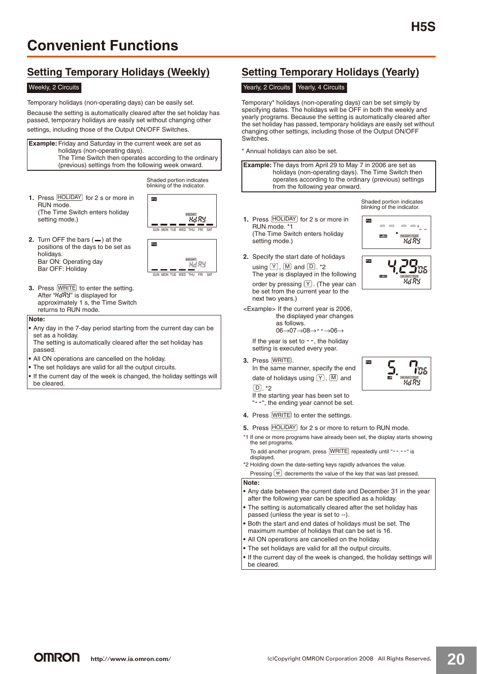### **Setting Temporary Holidays (Weekly)**

#### Weekly, 2 Circuits

Temporary holidays (non-operating days) can be easily set. Because the setting is automatically cleared after the set holiday has passed, temporary holidays are easily set without changing other settings, including those of the Output ON/OFF Switches.

**Example:** Friday and Saturday in the current week are set as holidays (non-operating days). The Time Switch then operates according to the ordinary (previous) settings from the following week onward.

> Shaded portion indicates blinking of the indicator.

**1.** Press **HOLIDAY** for 2 s or more in RUN mode. (The Time Switch enters holiday setting mode.)



**2.** Turn OFF the bars  $($   $)$  at the positions of the days to be set as holidays. Bar ON: Operating day Bar OFF: Holiday



**3.** Press **WRITE** to enter the setting. After "HdRY" is displayed for approximately 1 s, the Time Switch returns to RUN mode.

#### **Note:**

**•** Any day in the 7-day period starting from the current day can be set as a holiday

The setting is automatically cleared after the set holiday has passed.

- **•** All ON operations are cancelled on the holiday.
- **•** The set holidays are valid for all the output circuits.
- **•** If the current day of the week is changed, the holiday settings will be cleared.

### **Setting Temporary Holidays (Yearly)**

### Yearly, 2 Circuits Yearly, 4 Circuits

Temporary\* holidays (non-operating days) can be set simply by specifying dates. The holidays will be OFF in both the weekly and yearly programs. Because the setting is automatically cleared after the set holiday has passed, temporary holidays are easily set without changing other settings, including those of the Output ON/OFF **Switches** 

\* Annual holidays can also be set.





 $\Rightarrow$  $\bigcirc$   $\circ \circ$ ,

 $RdR$ 

東京都

**PW** 

**EW** 

- **1.** Press **HOLIDAY** for 2 s or more in RUN mode. \*1 (The Time Switch enters holiday setting mode.)
- **2.** Specify the start date of holidays using  $(Y)$ ,  $[M]$  and  $[D]$ . \*2 The year is displayed in the following order by pressing  $\lfloor Y \rfloor$ . (The year can be set from the current year to the next two years.)
- <Example> If the current year is 2006, the displayed year changes as follows. 06→07→08→--→06→

If the year is set to  $-$ , the holiday

setting is executed every year.

**3.** Press **WRITE**.

In the same manner, specify the end date of holidays using  $[Y]$ ,  $[M]$  and <u>DJ</u>. \*2

If the starting year has been set to "--", the ending year cannot be set.

- **4.** Press **WRITE** to enter the settings.
- **5.** Press [HOLIDAY] for 2 s or more to return to RUN mode.
- \*1 If one or more programs have already been set, the display starts showing the set programs.

To add another program, press WRITE repeatedly until "--.--" is displayed.

\*2 Holding down the date-setting keys rapidly advances the value. Pressing  $\geq$  decrements the value of the key that was last pressed.

#### **Note:**

- **•** Any date between the current date and December 31 in the year after the following year can be specified as a holiday.
- **•** The setting is automatically cleared after the set holiday has passed (unless the year is set to --).
- **•** Both the start and end dates of holidays must be set. The maximum number of holidays that can be set is 16.
- **•** All ON operations are cancelled on the holiday.
- **•** The set holidays are valid for all the output circuits.
- **•** If the current day of the week is changed, the holiday settings will be cleared.

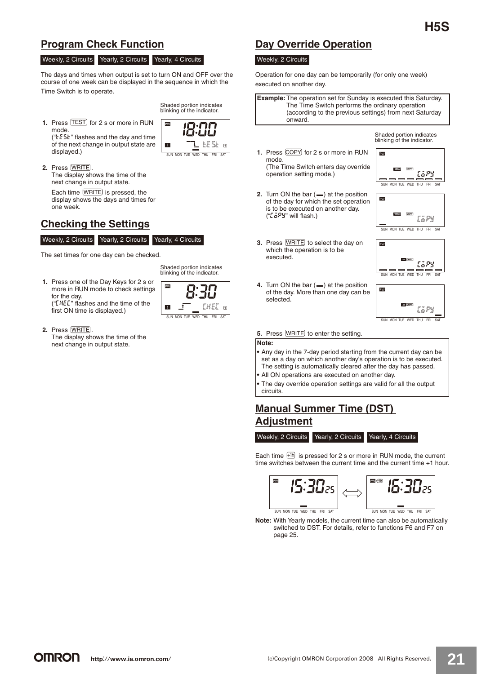### **Program Check Function**

#### Weekly, 2 Circuits Yearly, 2 Circuits Yearly, 4 Circuits

The days and times when output is set to turn ON and OFF over the course of one week can be displayed in the sequence in which the Time Switch is to operate.

- Shaded portion indicates blinking of the indicator.
- **1.** Press [TEST] for 2 s or more in RUN mode.

(" $E5E$ " flashes and the day and time of the next change in output state are displayed.)

PW.  $ESE$ n SUN MON TUE WED THU FRI SAT

Shaded portion indicates

SUN MON TUE WED THU FRI SAT

**KT** 

**2.** Press WRITE . The display shows the time of the next change in output state.

Each time  $\sqrt{\text{MRISE}}$  is pressed, the display shows the days and times for one week.

### **Checking the Settings**

#### Weekly, 2 Circuits Yearly, 2 Circuits Yearly, 4 Circuits

The set times for one day can be checked.

blinking of the indicator. **1.** Press one of the Day Keys for 2 s or PW. more in RUN mode to check settings for the day.

 $C$ flashes and the time of the first ON time is displayed.)

**2.** Press **WRITE**.

The display shows the time of the next change in output state.



### **Day Override Operation**

#### Weekly, 2 Circuits

Operation for one day can be temporarily (for only one week) executed on another day.

**Example:** The operation set for Sunday is executed this Saturday. The Time Switch performs the ordinary operation (according to the previous settings) from next Saturday onward.

> Shaded portion indicates blinking of the indicator.

**1.** Press COPY for 2 s or more in RUN mode. (The Time Switch enters day override

operation setting mode.)

PW EGPS SUN MON TUE WED THU FRI SAT

PW

 $\overline{DM}$ 

SUN MON TUE WED THU FRI SAT

COPY

**LaPY** 

tary

- **2.** Turn ON the bar  $($   $)$  at the position of the day for which the set operation is to be executed on another day.  $(ToPY'$  will flash.)
- **3.** Press **WRITE** to select the day on which the operation is to be executed.



SUN MON TUE WED THU FRI SAT

**4.** Turn ON the bar  $($   $)$  at the position of the day. More than one day can be selected.

**5.** Press **WRITE** to enter the setting.

**Note:**

- **•** Any day in the 7-day period starting from the current day can be set as a day on which another day's operation is to be executed. The setting is automatically cleared after the day has passed.
- **•** All ON operations are executed on another day.
- **•** The day override operation settings are valid for all the output circuits.

### **Manual Summer Time (DST) Adjustment**

Weekly, 2 Circuits Yearly, 2 Circuits Yearly, 4 Circuits

Each time  $\pm$ <sup>th</sup> is pressed for 2 s or more in RUN mode, the current time switches between the current time and the current time +1 hour.



**Note:** With Yearly models, the current time can also be automatically switched to DST. For details, refer to functions F6 and F7 on page 25.

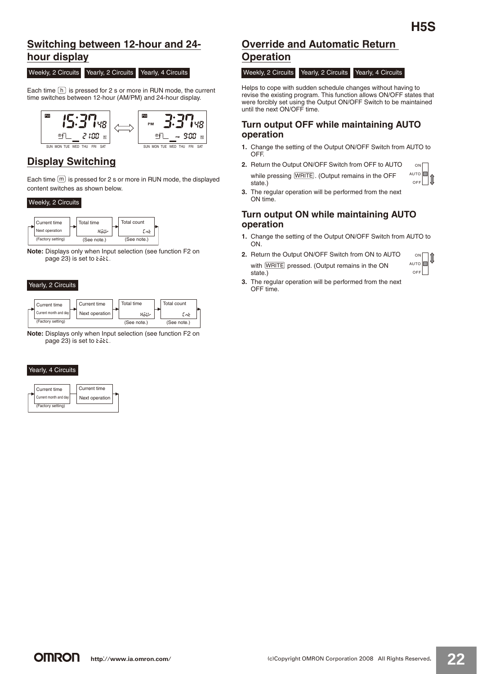### **Switching between 12-hour and 24 hour display**

#### Weekly, 2 Circuits Yearly, 2 Circuits Yearly, 4 Circuits

Each time  $\lfloor h \rfloor$  is pressed for 2 s or more in RUN mode, the current time switches between 12-hour (AM/PM) and 24-hour display.



### **Display Switching**

Each time  $[m]$  is pressed for 2 s or more in RUN mode, the displayed content switches as shown below.

#### Weekly, 2 Circuits



**Note:** Displays only when Input selection (see function F2 on page 23) is set to  $t$   $\delta t$ .

#### Yearly, 2 Circuits



**Note:** Displays only when Input selection (see function F2 on page 23) is set to  $t$  otl.

#### Yearly, 4 Circuits



### **Override and Automatic Return Operation**

Weekly, 2 Circuits Yearly, 2 Circuits Yearly, 4 Circuits

Helps to cope with sudden schedule changes without having to revise the existing program. This function allows ON/OFF states that were forcibly set using the Output ON/OFF Switch to be maintained until the next ON/OFF time.

### **Turn output OFF while maintaining AUTO operation**

- **1.** Change the setting of the Output ON/OFF Switch from AUTO to OFF.
- **2.** Return the Output ON/OFF Switch from OFF to AUTO while pressing  $[WHTE]$ . (Output remains in the OFF state.) **ON** AUTO<sup>I</sup>  $\overline{OP}$
- **3.** The regular operation will be performed from the next ON time.

### **Turn output ON while maintaining AUTO operation**

- **1.** Change the setting of the Output ON/OFF Switch from AUTO to ON.
- **2.** Return the Output ON/OFF Switch from ON to AUTO with **WRITE** pressed. (Output remains in the ON state.)



 $|\textbf{\textit{1}}|$ 

**3.** The regular operation will be performed from the next OFF time.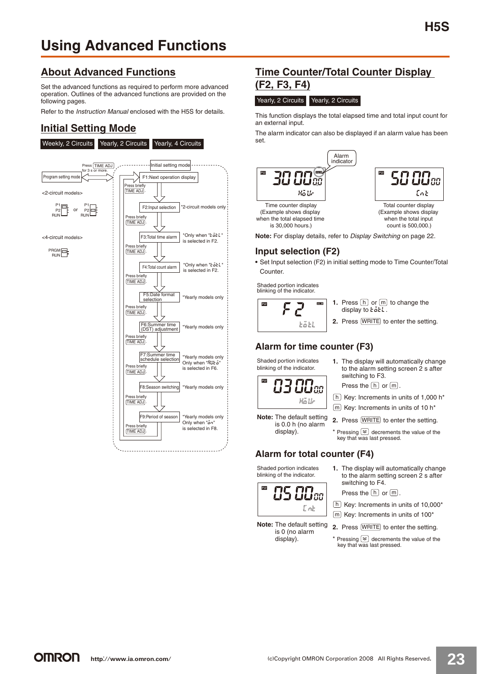### **About Advanced Functions**

Set the advanced functions as required to perform more advanced operation. Outlines of the advanced functions are provided on the following pages.

Refer to the Instruction Manual enclosed with the H5S for details.

### **Initial Setting Mode**



### **Time Counter/Total Counter Display (F2, F3, F4)**

#### Yearly, 2 Circuits Yearly, 2 Circuits

This function displays the total elapsed time and total input count for an external input.

The alarm indicator can also be displayed if an alarm value has been set.



**Note:** For display details, refer to Display Switching on page 22.

### **Input selection (F2)**

**•** Set Input selection (F2) in initial setting mode to Time Counter/Total Counter.

Shaded portion indicates blinking of the indicator.



- **1.** Press  $\lfloor h \rfloor$  or  $\lfloor m \rfloor$  to change the display to  $\overline{t}$   $\overline{a}$   $\overline{c}$   $\overline{c}$ .
- **2.** Press **WRITE** to enter the setting.

### **Alarm for time counter (F3)**

Shaded portion indicates blinking of the indicator.



**Note:** The default setting is 0.0 h (no alarm display).

**1.** The display will automatically change to the alarm setting screen 2 s after switching to F3. Press the  $[h]$  or  $[m]$ .

h Key: Increments in units of 1,000 h\*

- m] Key: Increments in units of 10 h\*
- **2.** Press **WRITE** to enter the setting.
- \* Pressing  $\leq$  decrements the value of the key that was last pressed.

### **Alarm for total counter (F4)**

Shaded portion indicates blinking of the indicator.



**Note:** The default setting is 0 (no alarm display).

- **1.** The display will automatically change to the alarm setting screen 2 s after switching to F4.
	- Press the  $[h]$  or  $[m]$ .

h Key: Increments in units of 10,000\*

m] Key: Increments in units of 100\*

**2.** Press **WRITE** to enter the setting.

Pressing  $\gtrapprox$  decrements the value of the key that was last pressed.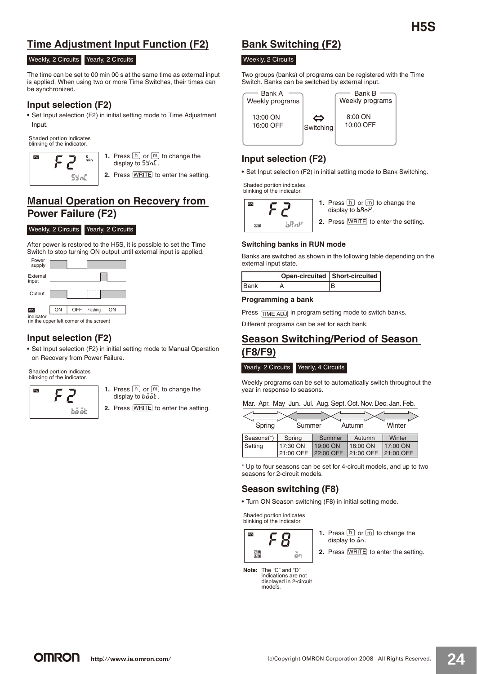### **Time Adjustment Input Function (F2)**

#### Weekly, 2 Circuits Yearly, 2 Circuits

The time can be set to 00 min 00 s at the same time as external input is applied. When using two or more Time Switches, their times can be synchronized.

### **Input selection (F2)**

**•** Set Input selection (F2) in initial setting mode to Time Adjustment Input.

Shaded portion indicates blinking of the indicator.



- **1.** Press  $\lfloor h \rfloor$  or  $\lfloor m \rfloor$  to change the display to  $5\frac{1}{2}n$ .
- **2.** Press **WRITE** to enter the setting.

### **Manual Operation on Recovery from Power Failure (F2)**

#### Weekly, 2 Circuits Yearly, 2 Circuits

After power is restored to the H5S, it is possible to set the Time Switch to stop turning ON output until external input is applied.



### **Input selection (F2)**

**•** Set Input selection (F2) in initial setting mode to Manual Operation on Recovery from Power Failure.

Shaded portion indicates blinking of the indicator.

- PW  $\overrightarrow{ba}$   $\overrightarrow{ab}$
- **1.** Press  $\lfloor h \rfloor$  or  $\lfloor m \rfloor$  to change the display to  $b\ddot{o}\dot{o}\dot{b}$ .
- **2.** Press **WRITE** to enter the setting.

### **Bank Switching (F2)**

#### Weekly, 2 Circuits

Two groups (banks) of programs can be registered with the Time Switch. Banks can be switched by external input.



### **Input selection (F2)**

**•** Set Input selection (F2) in initial setting mode to Bank Switching.

Shaded portion indicates blinking of the indicator.

| PW      |             |
|---------|-------------|
| $A$ $B$ | <b>ARon</b> |

**1.** Press  $\lfloor h \rfloor$  or  $\lfloor m \rfloor$  to change the display to  $bRnH$ .

**2.** Press **WRITE** to enter the setting.

# **Switching banks in RUN mode**

Banks are switched as shown in the following table depending on the external input state.

|      | Open-circuited   Short-circuited |  |
|------|----------------------------------|--|
| Bank |                                  |  |

#### **Programming a bank**

Press TIME ADJ in program setting mode to switch banks.

Different programs can be set for each bank.

### **Season Switching/Period of Season (F8/F9)**

#### Yearly, 2 Circuits Yearly, 4 Circuits

Weekly programs can be set to automatically switch throughout the year in response to seasons.

|  |  | Mar. Apr. May Jun. Jul. Aug. Sept. Oct. Nov. Dec. Jan. Feb. |  |  |  |
|--|--|-------------------------------------------------------------|--|--|--|
|  |  |                                                             |  |  |  |

| Spring<br>Winter<br>Summer<br>Autumn |           |           |           |           |  |  |  |
|--------------------------------------|-----------|-----------|-----------|-----------|--|--|--|
| Seasons(*)                           | Spring    | Summer    | Autumn    | Winter    |  |  |  |
| Setting                              | 17:30 ON  | 19:00 ON  | 18:00 ON  | 17:00 ON  |  |  |  |
|                                      | 21:00 OFF | 22:00 OFF | 21:00 OFF | 21:00 OFF |  |  |  |

\* Up to four seasons can be set for 4-circuit models, and up to two seasons for 2-circuit models.

### **Season switching (F8)**

**•** Turn ON Season switching (F8) in initial setting mode.

Shaded portion indicates blinking of the indicator.



- **1.** Press  $\lfloor h \rfloor$  or  $\lfloor m \rfloor$  to change the display to  $\mathbf{a} \cdot \mathbf{n}$ .
- **2.** Press **WRITE** to enter the setting.

**Note:** The "C" and "D" indications are not displayed in 2-circuit models.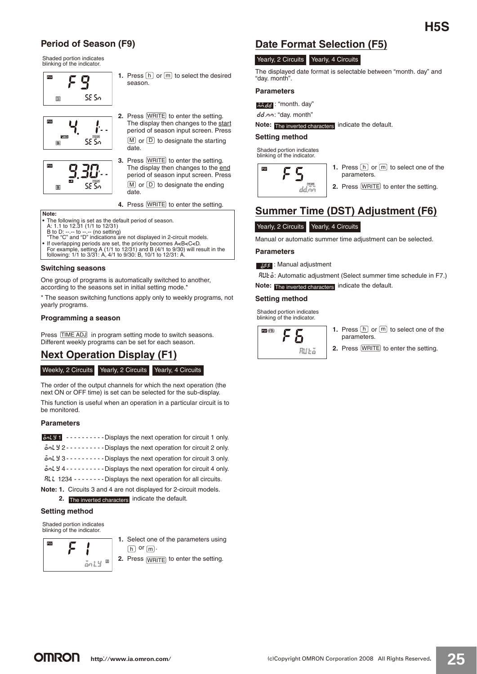## **H5S**

### **Period of Season (F9)**

Shaded portion indicates blinking of the indicator.



**1.** Press  $\lfloor h \rfloor$  or  $\lfloor m \rfloor$  to select the desired season.

**2.** Press **WRITE** to enter the setting.





The display then changes to the start period of season input screen. Press  $M$  or  $(D)$  to designate the starting date. **3.** Press **WRITE** to enter the setting.

The display then changes to the end period of season input screen. Press  $M$  or  $D$  to designate the ending date.

**4.** Press **WRITE** to enter the setting.

#### **Note:**

- 
- The following is set as the default period of season.<br>A: 1.1 to 12.31 (1/1 to 12/31)<br>B to D: --.- to --.- (no setting)<br>\*The "C" and "D" indications are not displayed in 2-circuit models.
- 
- If overlapping periods are set, the priority becomes A<B<C<D.<br>For example, setting A (1/1 to 12/31) and B (4/1 to 9/30) will result in the<br>following: 1/1 to 3/31: A, 4/1 to 9/30: B, 10/1 to 12/31: A.

#### **Switching seasons**

One group of programs is automatically switched to another, according to the seasons set in initial setting mode.<sup>\*</sup>

\* The season switching functions apply only to weekly programs, not yearly programs.

#### **Programming a season**

Press TIME ADJ in program setting mode to switch seasons. Different weekly programs can be set for each season.

### **Next Operation Display (F1)**

#### Weekly, 2 Circuits Yearly, 2 Circuits Yearly, 4 Circuits

The order of the output channels for which the next operation (the next ON or OFF time) is set can be selected for the sub-display. This function is useful when an operation in a particular circuit is to be monitored.

#### **Parameters**

| ant 9 1 - - - - - - - - - - Displays the next operation for circuit 1 only.                                             |
|-------------------------------------------------------------------------------------------------------------------------|
| $\mathbf{a}$ $\mathbf{a}$ $\mathbf{y}$ 2 - - - - - - - - - - Displays the next operation for circuit 2 only.            |
| $\mathbf{a}$ $\mathbf{a}$ $\mathbf{b}$ $\mathbf{y}$ 3 - - - - - - - - - Displays the next operation for circuit 3 only. |
| ant y 4 - - - - - - - - - - Displays the next operation for circuit 4 only.                                             |
| RLL 1234 - - - - - - - - Displays the next operation for all circuits.                                                  |
|                                                                                                                         |

**Note: 1.** Circuits 3 and 4 are not displayed for 2-circuit models. **2.** The inverted characters indicate the default.

#### **Setting method**

Shaded portion indicates blinking of the indicator.



**1.** Select one of the parameters using  $\overline{\mathsf{h}}$  or  $\overline{\mathsf{m}}$  .

**2.** Press  $\overline{\text{WRITE}}$  to enter the setting.

### **Date Format Selection (F5)**

|  | Yearly, 2 Circuits Yearly, 4 Circuits |
|--|---------------------------------------|
|--|---------------------------------------|

The displayed date format is selectable between "month. day" and "day. month".

#### **Parameters**

ಕಕ್ಕಿಕ್ಕ : "month. day"

dd.nn: "day. month"

#### Note: The inverted characters indicate the default.

**Setting method**

Shaded portion indicates blinking of the indicator.



- **1.** Press  $\lfloor h \rfloor$  or  $\lfloor m \rfloor$  to select one of the parameters.
- **2.** Press **WRITE** to enter the setting.

# **Summer Time (DST) Adjustment (F6)**

Yearly, 2 Circuits Yearly, 4 Circuits

Manual or automatic summer time adjustment can be selected.

### **Parameters**

न्नद्र : Manual adjustment

RUŁa: Automatic adjustment (Select summer time schedule in F7.) Note: The inverted characters indicate the default.

#### **Setting method**

Shaded portion indicates blinking of the indicator.



- **1.** Press  $\lfloor h \rfloor$  or  $\lfloor m \rfloor$  to select one of the parameters.
- **2.** Press **WRITE** to enter the setting.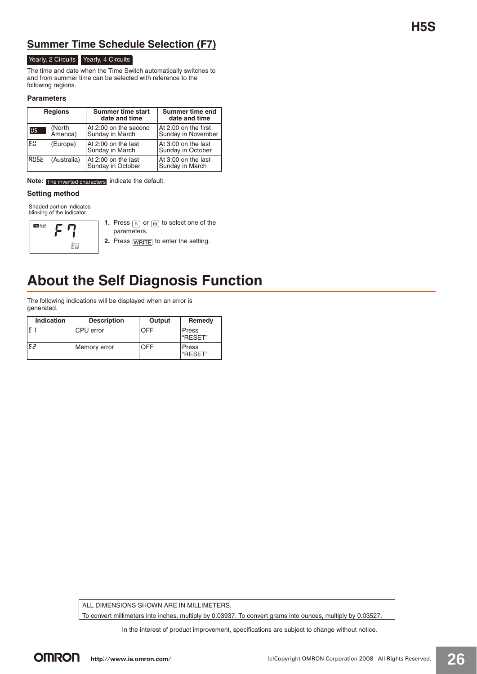### **Summer Time Schedule Selection (F7)**

### Yearly, 2 Circuits Yearly, 4 Circuits

The time and date when the Time Switch automatically switches to and from summer time can be selected with reference to the following regions.

#### **Parameters**

| <b>Regions</b> |                    | <b>Summer time start</b><br>date and time | Summer time end<br>date and time           |  |
|----------------|--------------------|-------------------------------------------|--------------------------------------------|--|
| 85             | (North<br>America) | At 2:00 on the second<br>Sunday in March  | At 2:00 on the first<br>Sunday in November |  |
| IEU.           | (Europe)           | At 2:00 on the last<br>Sunday in March    | At 3:00 on the last<br>Sunday in October   |  |
| IRUSE.         | (Australia)        | At 2:00 on the last<br>Sunday in October  | At 3:00 on the last<br>Sunday in March     |  |

Note: The inverted characters indicate the default.

#### **Setting method**

Shaded portion indicates blinking of the indicator.



**1.** Press  $\boxed{h}$  or  $\boxed{m}$  to select one of the parameters.

**2.** Press  $\overline{\text{WRITE}}$  to enter the setting.

# **About the Self Diagnosis Function**

The following indications will be displayed when an error is generated.

| <b>Indication</b> | <b>Description</b> | Output | Remedy           |
|-------------------|--------------------|--------|------------------|
|                   | CPU error          | OFF    | Press<br>"RESET" |
| .E2               | Memory error       | OFF    | Press<br>"RESET" |

ALL DIMENSIONS SHOWN ARE IN MILLIMETERS.

To convert millimeters into inches, multiply by 0.03937. To convert grams into ounces, multiply by 0.03527.

In the interest of product improvement, specifications are subject to change without notice.